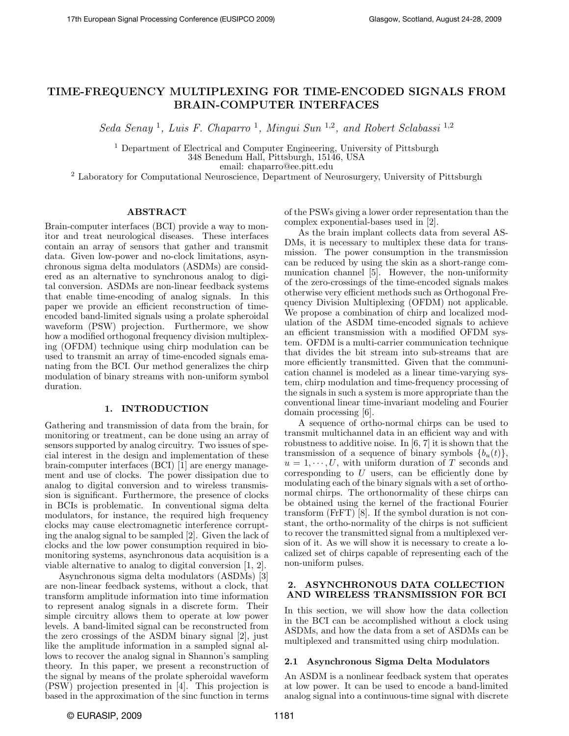# TIME-FREQUENCY MULTIPLEXING FOR TIME-ENCODED SIGNALS FROM BRAIN-COMPUTER INTERFACES

Seda Senay<sup>1</sup>, Luis F. Chaparro<sup>1</sup>, Mingui Sun<sup>1,2</sup>, and Robert Sclabassi<sup>1,2</sup>

<sup>1</sup> Department of Electrical and Computer Engineering, University of Pittsburgh 348 Benedum Hall, Pittsburgh, 15146, USA email: chaparro@ee.pitt.edu

<sup>2</sup> Laboratory for Computational Neuroscience, Department of Neurosurgery, University of Pittsburgh

# ABSTRACT

Brain-computer interfaces (BCI) provide a way to monitor and treat neurological diseases. These interfaces contain an array of sensors that gather and transmit data. Given low-power and no-clock limitations, asynchronous sigma delta modulators (ASDMs) are considered as an alternative to synchronous analog to digital conversion. ASDMs are non-linear feedback systems that enable time-encoding of analog signals. In this paper we provide an efficient reconstruction of timeencoded band-limited signals using a prolate spheroidal waveform (PSW) projection. Furthermore, we show how a modified orthogonal frequency division multiplexing (OFDM) technique using chirp modulation can be used to transmit an array of time-encoded signals emanating from the BCI. Our method generalizes the chirp modulation of binary streams with non-uniform symbol duration.

# 1. INTRODUCTION

Gathering and transmission of data from the brain, for monitoring or treatment, can be done using an array of sensors supported by analog circuitry. Two issues of special interest in the design and implementation of these brain-computer interfaces (BCI) [1] are energy management and use of clocks. The power dissipation due to analog to digital conversion and to wireless transmission is significant. Furthermore, the presence of clocks in BCIs is problematic. In conventional sigma delta modulators, for instance, the required high frequency clocks may cause electromagnetic interference corrupting the analog signal to be sampled [2]. Given the lack of clocks and the low power consumption required in biomonitoring systems, asynchronous data acquisition is a viable alternative to analog to digital conversion [1, 2].

Asynchronous sigma delta modulators (ASDMs) [3] are non-linear feedback systems, without a clock, that transform amplitude information into time information to represent analog signals in a discrete form. Their simple circuitry allows them to operate at low power levels. A band-limited signal can be reconstructed from the zero crossings of the ASDM binary signal [2], just like the amplitude information in a sampled signal allows to recover the analog signal in Shannon's sampling theory. In this paper, we present a reconstruction of the signal by means of the prolate spheroidal waveform (PSW) projection presented in [4]. This projection is based in the approximation of the sinc function in terms

of the PSWs giving a lower order representation than the complex exponential-bases used in [2].

As the brain implant collects data from several AS-DMs, it is necessary to multiplex these data for transmission. The power consumption in the transmission can be reduced by using the skin as a short-range communication channel [5]. However, the non-uniformity of the zero-crossings of the time-encoded signals makes otherwise very efficient methods such as Orthogonal Frequency Division Multiplexing (OFDM) not applicable. We propose a combination of chirp and localized modulation of the ASDM time-encoded signals to achieve an efficient transmission with a modified OFDM system. OFDM is a multi-carrier communication technique that divides the bit stream into sub-streams that are more efficiently transmitted. Given that the communication channel is modeled as a linear time-varying system, chirp modulation and time-frequency processing of the signals in such a system is more appropriate than the conventional linear time-invariant modeling and Fourier domain processing [6].

A sequence of ortho-normal chirps can be used to transmit multichannel data in an efficient way and with robustness to additive noise. In [6, 7] it is shown that the transmission of a sequence of binary symbols  ${b<sub>u</sub>(t)}$ ,  $u = 1, \dots, U$ , with uniform duration of T seconds and corresponding to  $U$  users, can be efficiently done by modulating each of the binary signals with a set of orthonormal chirps. The orthonormality of these chirps can be obtained using the kernel of the fractional Fourier transform (FrFT) [8]. If the symbol duration is not constant, the ortho-normality of the chirps is not sufficient to recover the transmitted signal from a multiplexed version of it. As we will show it is necessary to create a localized set of chirps capable of representing each of the non-uniform pulses.

# 2. ASYNCHRONOUS DATA COLLECTION AND WIRELESS TRANSMISSION FOR BCI

In this section, we will show how the data collection in the BCI can be accomplished without a clock using ASDMs, and how the data from a set of ASDMs can be multiplexed and transmitted using chirp modulation.

### 2.1 Asynchronous Sigma Delta Modulators

An ASDM is a nonlinear feedback system that operates at low power. It can be used to encode a band-limited analog signal into a continuous-time signal with discrete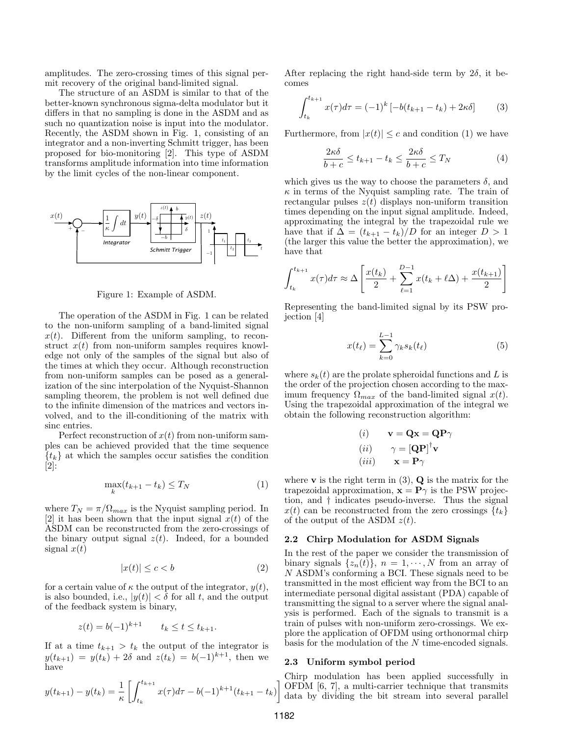amplitudes. The zero-crossing times of this signal permit recovery of the original band-limited signal.

The structure of an ASDM is similar to that of the better-known synchronous sigma-delta modulator but it differs in that no sampling is done in the ASDM and as such no quantization noise is input into the modulator. Recently, the ASDM shown in Fig. 1, consisting of an integrator and a non-inverting Schmitt trigger, has been proposed for bio-monitoring [2]. This type of ASDM transforms amplitude information into time information by the limit cycles of the non-linear component.



Figure 1: Example of ASDM.

The operation of the ASDM in Fig. 1 can be related to the non-uniform sampling of a band-limited signal  $x(t)$ . Different from the uniform sampling, to reconstruct  $x(t)$  from non-uniform samples requires knowledge not only of the samples of the signal but also of the times at which they occur. Although reconstruction from non-uniform samples can be posed as a generalization of the sinc interpolation of the Nyquist-Shannon sampling theorem, the problem is not well defined due to the infinite dimension of the matrices and vectors involved, and to the ill-conditioning of the matrix with sinc entries.

Perfect reconstruction of  $x(t)$  from non-uniform samples can be achieved provided that the time sequence  ${t_k}$  at which the samples occur satisfies the condition  $\left[2\right]$ :

$$
\max_{k}(t_{k+1} - t_k) \le T_N \tag{1}
$$

where  $T_N = \pi / \Omega_{max}$  is the Nyquist sampling period. In [2] it has been shown that the input signal  $x(t)$  of the ASDM can be reconstructed from the zero-crossings of the binary output signal  $z(t)$ . Indeed, for a bounded signal  $x(t)$ 

$$
|x(t)| \le c < b \tag{2}
$$

for a certain value of  $\kappa$  the output of the integrator,  $y(t)$ , is also bounded, i.e.,  $|y(t)| < \delta$  for all t, and the output of the feedback system is binary,

$$
z(t) = b(-1)^{k+1} \qquad t_k \le t \le t_{k+1}.
$$

If at a time  $t_{k+1} > t_k$  the output of the integrator is  $y(t_{k+1}) = y(t_k) + 2\delta$  and  $z(t_k) = b(-1)^{k+1}$ , then we have

$$
y(t_{k+1}) - y(t_k) = \frac{1}{\kappa} \left[ \int_{t_k}^{t_{k+1}} x(\tau) d\tau - b(-1)^{k+1} (t_{k+1} - t_k) \right]
$$

After replacing the right hand-side term by  $2\delta$ , it becomes

$$
\int_{t_k}^{t_{k+1}} x(\tau) d\tau = (-1)^k \left[ -b(t_{k+1} - t_k) + 2\kappa \delta \right]
$$
 (3)

Furthermore, from  $|x(t)| \leq c$  and condition (1) we have

$$
\frac{2\kappa\delta}{b+c} \le t_{k+1} - t_k \le \frac{2\kappa\delta}{b+c} \le T_N \tag{4}
$$

which gives us the way to choose the parameters  $\delta$ , and  $\kappa$  in terms of the Nyquist sampling rate. The train of rectangular pulses  $z(t)$  displays non-uniform transition times depending on the input signal amplitude. Indeed, approximating the integral by the trapezoidal rule we have that if  $\Delta = (t_{k+1} - t_k)/D$  for an integer  $D > 1$ (the larger this value the better the approximation), we have that

$$
\int_{t_k}^{t_{k+1}} x(\tau) d\tau \approx \Delta \left[ \frac{x(t_k)}{2} + \sum_{\ell=1}^{D-1} x(t_k + \ell \Delta) + \frac{x(t_{k+1})}{2} \right]
$$

Representing the band-limited signal by its PSW projection [4]

$$
x(t_{\ell}) = \sum_{k=0}^{L-1} \gamma_k s_k(t_{\ell})
$$
\n<sup>(5)</sup>

where  $s_k(t)$  are the prolate spheroidal functions and L is the order of the projection chosen according to the maximum frequency  $\Omega_{max}$  of the band-limited signal  $x(t)$ . Using the trapezoidal approximation of the integral we obtain the following reconstruction algorithm:

(i) 
$$
\mathbf{v} = \mathbf{Q}\mathbf{x} = \mathbf{Q}\mathbf{P}\gamma
$$
  
\n(ii)  $\gamma = [\mathbf{Q}\mathbf{P}]^{\dagger}\mathbf{v}$   
\n(iii)  $\mathbf{x} = \mathbf{P}\gamma$ 

where **v** is the right term in  $(3)$ , **Q** is the matrix for the trapezoidal approximation,  $\mathbf{x} = \mathbf{P}\gamma$  is the PSW projection, and † indicates pseudo-inverse. Thus the signal  $x(t)$  can be reconstructed from the zero crossings  $\{t_k\}$ of the output of the ASDM  $z(t)$ .

#### 2.2 Chirp Modulation for ASDM Signals

In the rest of the paper we consider the transmission of binary signals  $\{z_n(t)\}\$ ,  $n = 1, \dots, N$  from an array of N ASDM's conforming a BCI. These signals need to be transmitted in the most efficient way from the BCI to an intermediate personal digital assistant (PDA) capable of transmitting the signal to a server where the signal analysis is performed. Each of the signals to transmit is a train of pulses with non-uniform zero-crossings. We explore the application of OFDM using orthonormal chirp basis for the modulation of the  $N$  time-encoded signals.

#### 2.3 Uniform symbol period

Chirp modulation has been applied successfully in OFDM [6, 7], a multi-carrier technique that transmits data by dividing the bit stream into several parallel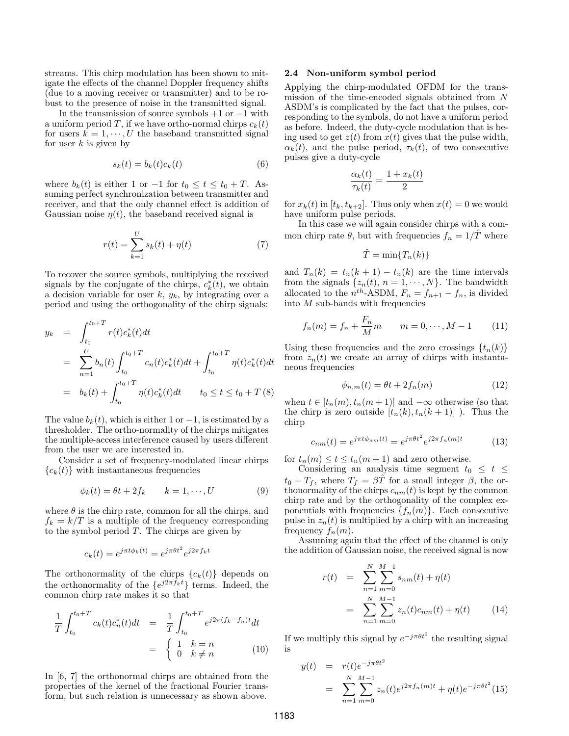streams. This chirp modulation has been shown to mitigate the effects of the channel Doppler frequency shifts (due to a moving receiver or transmitter) and to be robust to the presence of noise in the transmitted signal.

In the transmission of source symbols  $+1$  or  $-1$  with a uniform period T, if we have ortho-normal chirps  $c_k(t)$ for users  $k = 1, \dots, U$  the baseband transmitted signal for user  $k$  is given by

$$
s_k(t) = b_k(t)c_k(t)
$$
\n<sup>(6)</sup>

where  $b_k(t)$  is either 1 or  $-1$  for  $t_0 \le t \le t_0 + T$ . Assuming perfect synchronization between transmitter and receiver, and that the only channel effect is addition of Gaussian noise  $\eta(t)$ , the baseband received signal is

$$
r(t) = \sum_{k=1}^{U} s_k(t) + \eta(t)
$$
 (7)

To recover the source symbols, multiplying the received signals by the conjugate of the chirps,  $c_k^*(t)$ , we obtain a decision variable for user  $k, y_k$ , by integrating over a period and using the orthogonality of the chirp signals:

$$
y_k = \int_{t_0}^{t_0+T} r(t)c_k^*(t)dt
$$
  
\n
$$
= \sum_{n=1}^{U} b_n(t) \int_{t_0}^{t_0+T} c_n(t)c_k^*(t)dt + \int_{t_0}^{t_0+T} \eta(t)c_k^*(t)dt
$$
  
\n
$$
= b_k(t) + \int_{t_0}^{t_0+T} \eta(t)c_k^*(t)dt \qquad t_0 \le t \le t_0+T(8)
$$

The value  $b_k(t)$ , which is either 1 or  $-1$ , is estimated by a thresholder. The ortho-normality of the chirps mitigates the multiple-access interference caused by users different from the user we are interested in.

Consider a set of frequency-modulated linear chirps  ${c_k(t)}$  with instantaneous frequencies

$$
\phi_k(t) = \theta t + 2f_k \qquad k = 1, \cdots, U \tag{9}
$$

where  $\theta$  is the chirp rate, common for all the chirps, and  $f_k = k/T$  is a multiple of the frequency corresponding to the symbol period  $T$ . The chirps are given by

$$
c_k(t) = e^{j\pi t \phi_k(t)} = e^{j\pi \theta t^2} e^{j2\pi f_k t}
$$

The orthonormality of the chirps  ${c_k(t)}$  depends on the orthonormality of the  $\{e^{j2\pi f_k t}\}\)$  terms. Indeed, the common chirp rate makes it so that

$$
\frac{1}{T} \int_{t_0}^{t_0+T} c_k(t) c_n^*(t) dt = \frac{1}{T} \int_{t_0}^{t_0+T} e^{j2\pi (f_k - f_n)t} dt
$$

$$
= \begin{cases} 1 & k = n \\ 0 & k \neq n \end{cases}
$$
(10)

In [6, 7] the orthonormal chirps are obtained from the properties of the kernel of the fractional Fourier transform, but such relation is unnecessary as shown above.

### 2.4 Non-uniform symbol period

Applying the chirp-modulated OFDM for the transmission of the time-encoded signals obtained from N ASDM's is complicated by the fact that the pulses, corresponding to the symbols, do not have a uniform period as before. Indeed, the duty-cycle modulation that is being used to get  $z(t)$  from  $x(t)$  gives that the pulse width,  $\alpha_k(t)$ , and the pulse period,  $\tau_k(t)$ , of two consecutive pulses give a duty-cycle

$$
\frac{\alpha_k(t)}{\tau_k(t)} = \frac{1 + x_k(t)}{2}
$$

for  $x_k(t)$  in  $[t_k, t_{k+2}]$ . Thus only when  $x(t) = 0$  we would have uniform pulse periods.

In this case we will again consider chirps with a common chirp rate  $\theta$ , but with frequencies  $f_n = 1/\hat{T}$  where

$$
\hat{T} = \min\{T_n(k)\}\
$$

and  $T_n(k) = t_n(k+1) - t_n(k)$  are the time intervals from the signals  $\{z_n(t), n = 1, \dots, N\}$ . The bandwidth allocated to the  $n^{th}$ -ASDM,  $F_n = f_{n+1} - f_n$ , is divided into  $M$  sub-bands with frequencies

$$
f_n(m) = f_n + \frac{F_n}{M}m \qquad m = 0, \cdots, M - 1 \qquad (11)
$$

Using these frequencies and the zero crossings  $\{t_n(k)\}\$ from  $z_n(t)$  we create an array of chirps with instantaneous frequencies

$$
\phi_{n,m}(t) = \theta t + 2f_n(m) \tag{12}
$$

when  $t \in [t_n(m), t_n(m+1)]$  and  $-\infty$  otherwise (so that the chirp is zero outside  $[t_n(k), t_n(k+1)]$ ). Thus the chirp

$$
c_{nm}(t) = e^{j\pi t \phi_{nm}(t)} = e^{j\pi \theta t^2} e^{j2\pi f_n(m)t}
$$
 (13)

for  $t_n(m) \le t \le t_n(m+1)$  and zero otherwise.

Considering an analysis time segment  $t_0 \leq t \leq$  $t_0 + T_f$ , where  $T_f = \beta \hat{T}$  for a small integer  $\beta$ , the orthonormality of the chirps  $c_{nm}(t)$  is kept by the common chirp rate and by the orthogonality of the complex exponentials with frequencies  $\{f_n(m)\}\$ . Each consecutive pulse in  $z_n(t)$  is multiplied by a chirp with an increasing frequency  $f_n(m)$ .

Assuming again that the effect of the channel is only the addition of Gaussian noise, the received signal is now

$$
r(t) = \sum_{n=1}^{N} \sum_{m=0}^{M-1} s_{nm}(t) + \eta(t)
$$
  
= 
$$
\sum_{n=1}^{N} \sum_{m=0}^{M-1} z_n(t) c_{nm}(t) + \eta(t)
$$
(14)

If we multiply this signal by  $e^{-j\pi\theta t^2}$  the resulting signal is

$$
y(t) = r(t)e^{-j\pi\theta t^2}
$$
  
= 
$$
\sum_{n=1}^{N} \sum_{m=0}^{M-1} z_n(t)e^{j2\pi f_n(m)t} + \eta(t)e^{-j\pi\theta t^2}(15)
$$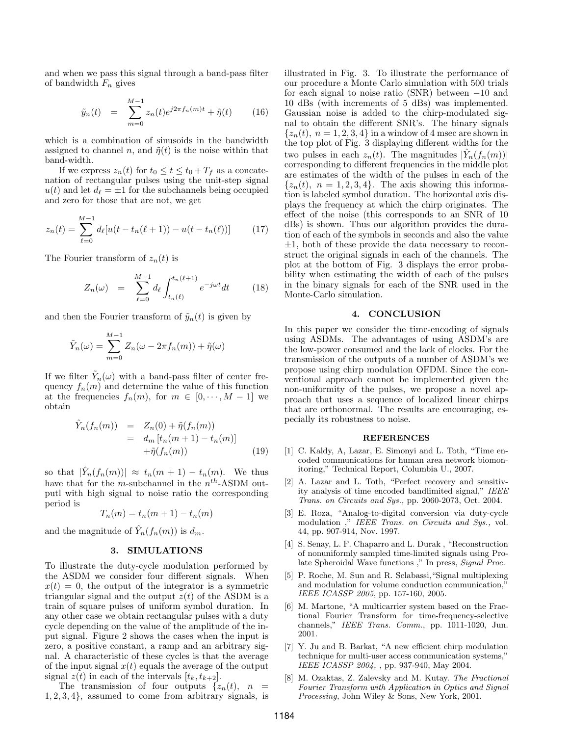and when we pass this signal through a band-pass filter of bandwidth  $F_n$  gives

$$
\tilde{y}_n(t) = \sum_{m=0}^{M-1} z_n(t) e^{j2\pi f_n(m)t} + \tilde{\eta}(t) \qquad (16)
$$

which is a combination of sinusoids in the bandwidth assigned to channel n, and  $\tilde{\eta}(t)$  is the noise within that band-width.

If we express  $z_n(t)$  for  $t_0 \le t \le t_0 + T_f$  as a concatenation of rectangular pulses using the unit-step signal  $u(t)$  and let  $d_\ell = \pm 1$  for the subchannels being occupied and zero for those that are not, we get

$$
z_n(t) = \sum_{\ell=0}^{M-1} d_{\ell}[u(t - t_n(\ell+1)) - u(t - t_n(\ell))]
$$
 (17)

The Fourier transform of  $z_n(t)$  is

$$
Z_n(\omega) = \sum_{\ell=0}^{M-1} d_\ell \int_{t_n(\ell)}^{t_n(\ell+1)} e^{-j\omega t} dt \qquad (18)
$$

and then the Fourier transform of  $\tilde{y}_n(t)$  is given by

$$
\tilde{Y}_n(\omega) = \sum_{m=0}^{M-1} Z_n(\omega - 2\pi f_n(m)) + \tilde{\eta}(\omega)
$$

If we filter  $\tilde{Y}_n(\omega)$  with a band-pass filter of center frequency  $f_n(m)$  and determine the value of this function at the frequencies  $f_n(m)$ , for  $m \in [0, \dots, M-1]$  we obtain

$$
\hat{Y}_n(f_n(m)) = Z_n(0) + \tilde{\eta}(f_n(m)) \n= d_m [t_n(m+1) - t_n(m)] \n+ \tilde{\eta}(f_n(m))
$$
\n(19)

so that  $|\hat{Y}_n(f_n(m))| \approx t_n(m+1) - t_n(m)$ . We thus have that for the *m*-subchannel in the  $n^{th}$ -ASDM outputl with high signal to noise ratio the corresponding period is

$$
T_n(m) = t_n(m+1) - t_n(m)
$$

and the magnitude of  $\hat{Y}_n(f_n(m))$  is  $d_m$ .

# 3. SIMULATIONS

To illustrate the duty-cycle modulation performed by the ASDM we consider four different signals. When  $x(t) = 0$ , the output of the integrator is a symmetric triangular signal and the output  $z(t)$  of the ASDM is a train of square pulses of uniform symbol duration. In any other case we obtain rectangular pulses with a duty cycle depending on the value of the amplitude of the input signal. Figure 2 shows the cases when the input is zero, a positive constant, a ramp and an arbitrary signal. A characteristic of these cycles is that the average of the input signal  $x(t)$  equals the average of the output signal  $z(t)$  in each of the intervals  $[t_k, t_{k+2}]$ .

The transmission of four outputs  $\{z_n(t), n\}$ 1, 2, 3, 4}, assumed to come from arbitrary signals, is illustrated in Fig. 3. To illustrate the performance of our procedure a Monte Carlo simulation with 500 trials for each signal to noise ratio (SNR) between −10 and 10 dBs (with increments of 5 dBs) was implemented. Gaussian noise is added to the chirp-modulated signal to obtain the different SNR's. The binary signals  $\{z_n(t), n = 1, 2, 3, 4\}$  in a window of 4 msec are shown in the top plot of Fig. 3 displaying different widths for the two pulses in each  $z_n(t)$ . The magnitudes  $|\hat{Y}_n(f_n(m))|$ corresponding to different frequencies in the middle plot are estimates of the width of the pulses in each of the  $\{z_n(t), n = 1, 2, 3, 4\}$ . The axis showing this information is labeled symbol duration. The horizontal axis displays the frequency at which the chirp originates. The effect of the noise (this corresponds to an SNR of 10 dBs) is shown. Thus our algorithm provides the duration of each of the symbols in seconds and also the value  $\pm 1$ , both of these provide the data necessary to reconstruct the original signals in each of the channels. The plot at the bottom of Fig. 3 displays the error probability when estimating the width of each of the pulses in the binary signals for each of the SNR used in the Monte-Carlo simulation.

#### 4. CONCLUSION

In this paper we consider the time-encoding of signals using ASDMs. The advantages of using ASDM's are the low-power consumed and the lack of clocks. For the transmission of the outputs of a number of ASDM's we propose using chirp modulation OFDM. Since the conventional approach cannot be implemented given the non-uniformity of the pulses, we propose a novel approach that uses a sequence of localized linear chirps that are orthonormal. The results are encouraging, especially its robustness to noise.

#### REFERENCES

- [1] C. Kaldy, A, Lazar, E. Simonyi and L. Toth, "Time encoded communications for human area network biomonitoring," Technical Report, Columbia U., 2007.
- [2] A. Lazar and L. Toth, "Perfect recovery and sensitivity analysis of time encoded bandlimited signal," IEEE Trans. on Circuits and Sys., pp. 2060-2073, Oct. 2004.
- [3] E. Roza, "Analog-to-digital conversion via duty-cycle modulation ," IEEE Trans. on Circuits and Sys., vol. 44, pp. 907-914, Nov. 1997.
- [4] S. Senay, L. F. Chaparro and L. Durak , "Reconstruction of nonuniformly sampled time-limited signals using Prolate Spheroidal Wave functions ," In press, Signal Proc.
- [5] P. Roche, M. Sun and R. Sclabassi,"Signal multiplexing and modulation for volume conduction communication," IEEE ICASSP 2005, pp. 157-160, 2005.
- [6] M. Martone, "A multicarrier system based on the Fractional Fourier Transform for time-frequency-selective channels," IEEE Trans. Comm., pp. 1011-1020, Jun. 2001.
- [7] Y. Ju and B. Barkat, "A new efficient chirp modulation technique for multi-user access communication systems," IEEE ICASSP 2004, , pp. 937-940, May 2004.
- [8] M. Ozaktas, Z. Zalevsky and M. Kutay. The Fractional Fourier Transform with Application in Optics and Signal Processing, John Wiley & Sons, New York, 2001.